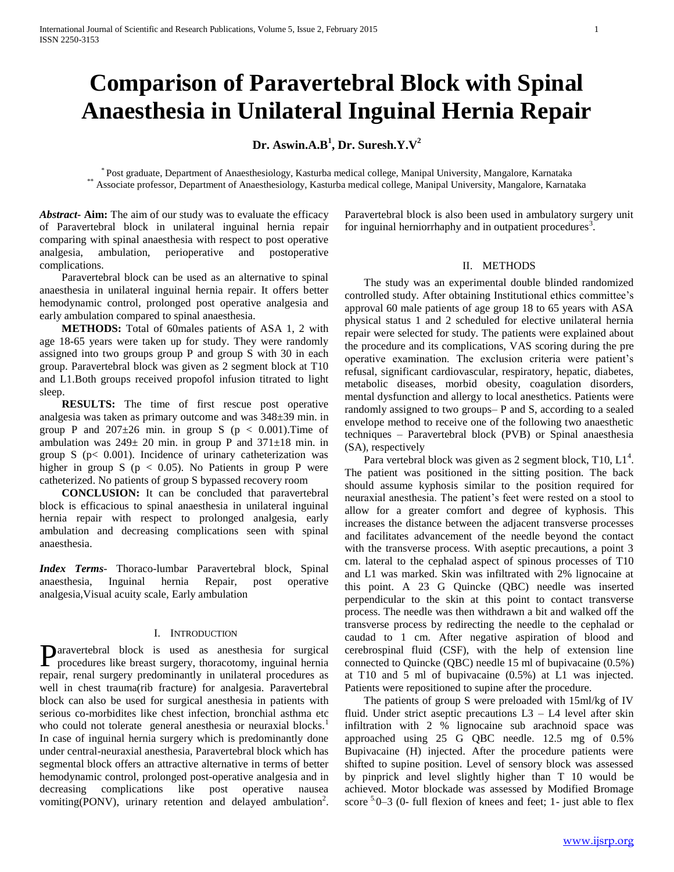# **Comparison of Paravertebral Block with Spinal Anaesthesia in Unilateral Inguinal Hernia Repair**

# **Dr. Aswin.A.B<sup>1</sup> , Dr. Suresh.Y.V<sup>2</sup>**

\* Post graduate, Department of Anaesthesiology, Kasturba medical college, Manipal University, Mangalore, Karnataka \*\* Associate professor, Department of Anaesthesiology, Kasturba medical college, Manipal University, Mangalore, Karnataka

*Abstract***- Aim:** The aim of our study was to evaluate the efficacy of Paravertebral block in unilateral inguinal hernia repair comparing with spinal anaesthesia with respect to post operative analgesia, ambulation, perioperative and postoperative complications.

 Paravertebral block can be used as an alternative to spinal anaesthesia in unilateral inguinal hernia repair. It offers better hemodynamic control, prolonged post operative analgesia and early ambulation compared to spinal anaesthesia.

 **METHODS:** Total of 60males patients of ASA 1, 2 with age 18-65 years were taken up for study. They were randomly assigned into two groups group P and group S with 30 in each group. Paravertebral block was given as 2 segment block at T10 and L1.Both groups received propofol infusion titrated to light sleep.

 **RESULTS:** The time of first rescue post operative analgesia was taken as primary outcome and was 348±39 min. in group P and  $207\pm26$  min. in group S ( $p < 0.001$ ). Time of ambulation was  $249 \pm 20$  min. in group P and  $371 \pm 18$  min. in group S ( $p < 0.001$ ). Incidence of urinary catheterization was higher in group S ( $p < 0.05$ ). No Patients in group P were catheterized. No patients of group S bypassed recovery room

 **CONCLUSION:** It can be concluded that paravertebral block is efficacious to spinal anaesthesia in unilateral inguinal hernia repair with respect to prolonged analgesia, early ambulation and decreasing complications seen with spinal anaesthesia.

*Index Terms*- Thoraco-lumbar Paravertebral block, Spinal anaesthesia, Inguinal hernia Repair, post operative analgesia,Visual acuity scale, Early ambulation

#### I. INTRODUCTION

aravertebral block is used as anesthesia for surgical Paravertebral block is used as anesthesia for surgical procedures like breast surgery, thoracotomy, inguinal hernia repair, renal surgery predominantly in unilateral procedures as well in chest trauma(rib fracture) for analgesia. Paravertebral block can also be used for surgical anesthesia in patients with serious co-morbidites like chest infection, bronchial asthma etc who could not tolerate general anesthesia or neuraxial blocks.<sup>1</sup> In case of inguinal hernia surgery which is predominantly done under central-neuraxial anesthesia, Paravertebral block which has segmental block offers an attractive alternative in terms of better hemodynamic control, prolonged post-operative analgesia and in decreasing complications like post operative nausea vomiting(PONV), urinary retention and delayed ambulation<sup>2</sup>. Paravertebral block is also been used in ambulatory surgery unit for inguinal herniorrhaphy and in outpatient procedures<sup>3</sup>.

## II. METHODS

 The study was an experimental double blinded randomized controlled study. After obtaining Institutional ethics committee's approval 60 male patients of age group 18 to 65 years with ASA physical status 1 and 2 scheduled for elective unilateral hernia repair were selected for study. The patients were explained about the procedure and its complications, VAS scoring during the pre operative examination. The exclusion criteria were patient's refusal, significant cardiovascular, respiratory, hepatic, diabetes, metabolic diseases, morbid obesity, coagulation disorders, mental dysfunction and allergy to local anesthetics. Patients were randomly assigned to two groups– P and S, according to a sealed envelope method to receive one of the following two anaesthetic techniques – Paravertebral block (PVB) or Spinal anaesthesia (SA), respectively

Para vertebral block was given as 2 segment block, T10, L1<sup>4</sup>. The patient was positioned in the sitting position. The back should assume kyphosis similar to the position required for neuraxial anesthesia. The patient's feet were rested on a stool to allow for a greater comfort and degree of kyphosis. This increases the distance between the adjacent transverse processes and facilitates advancement of the needle beyond the contact with the transverse process. With aseptic precautions, a point 3 cm. lateral to the cephalad aspect of spinous processes of T10 and L1 was marked. Skin was infiltrated with 2% lignocaine at this point. A 23 G Quincke (QBC) needle was inserted perpendicular to the skin at this point to contact transverse process. The needle was then withdrawn a bit and walked off the transverse process by redirecting the needle to the cephalad or caudad to 1 cm. After negative aspiration of blood and cerebrospinal fluid (CSF), with the help of extension line connected to Quincke (QBC) needle 15 ml of bupivacaine (0.5%) at T10 and 5 ml of bupivacaine (0.5%) at L1 was injected. Patients were repositioned to supine after the procedure.

 The patients of group S were preloaded with 15ml/kg of IV fluid. Under strict aseptic precautions  $L3 - L4$  level after skin infiltration with 2 % lignocaine sub arachnoid space was approached using 25 G QBC needle. 12.5 mg of 0.5% Bupivacaine (H) injected. After the procedure patients were shifted to supine position. Level of sensory block was assessed by pinprick and level slightly higher than T 10 would be achieved. Motor blockade was assessed by Modified Bromage score  $5.0-3$  (0- full flexion of knees and feet; 1- just able to flex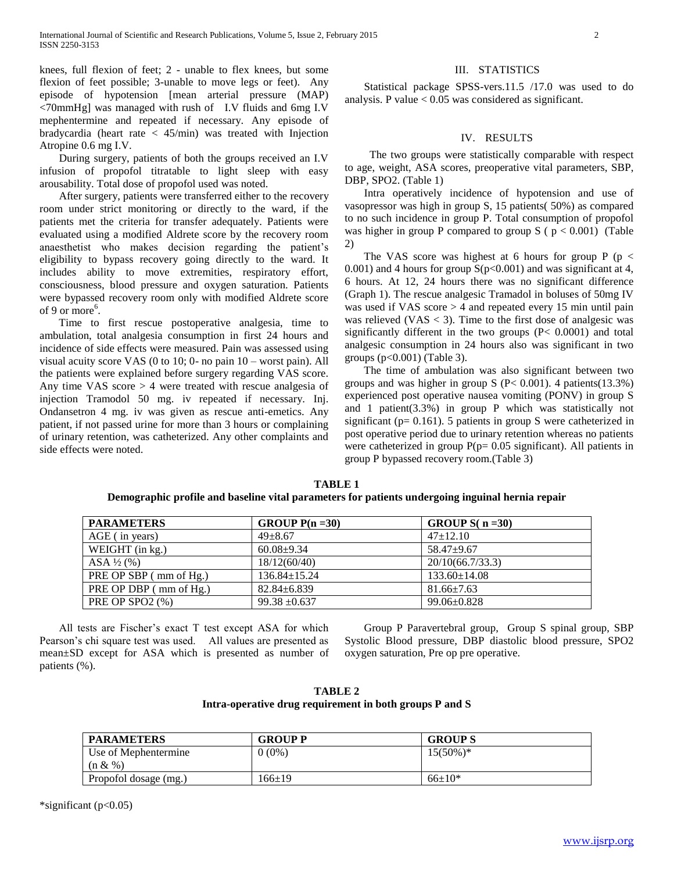knees, full flexion of feet; 2 - unable to flex knees, but some flexion of feet possible; 3-unable to move legs or feet). Any episode of hypotension [mean arterial pressure (MAP) <70mmHg] was managed with rush of I.V fluids and 6mg I.V mephentermine and repeated if necessary. Any episode of bradycardia (heart rate < 45/min) was treated with Injection Atropine 0.6 mg I.V.

 During surgery, patients of both the groups received an I.V infusion of propofol titratable to light sleep with easy arousability. Total dose of propofol used was noted.

 After surgery, patients were transferred either to the recovery room under strict monitoring or directly to the ward, if the patients met the criteria for transfer adequately. Patients were evaluated using a modified Aldrete score by the recovery room anaesthetist who makes decision regarding the patient's eligibility to bypass recovery going directly to the ward. It includes ability to move extremities, respiratory effort, consciousness, blood pressure and oxygen saturation. Patients were bypassed recovery room only with modified Aldrete score of 9 or more<sup>6</sup>.

 Time to first rescue postoperative analgesia, time to ambulation, total analgesia consumption in first 24 hours and incidence of side effects were measured. Pain was assessed using visual acuity score VAS (0 to 10; 0- no pain 10 – worst pain). All the patients were explained before surgery regarding VAS score. Any time VAS score > 4 were treated with rescue analgesia of injection Tramodol 50 mg. iv repeated if necessary. Inj. Ondansetron 4 mg. iv was given as rescue anti-emetics. Any patient, if not passed urine for more than 3 hours or complaining of urinary retention, was catheterized. Any other complaints and side effects were noted.

# III. STATISTICS

 Statistical package SPSS-vers.11.5 /17.0 was used to do analysis. P value  $< 0.05$  was considered as significant.

# IV. RESULTS

 The two groups were statistically comparable with respect to age, weight, ASA scores, preoperative vital parameters, SBP, DBP, SPO2. (Table 1)

 Intra operatively incidence of hypotension and use of vasopressor was high in group S, 15 patients( 50%) as compared to no such incidence in group P. Total consumption of propofol was higher in group P compared to group S ( $p < 0.001$ ) (Table 2)

The VAS score was highest at 6 hours for group  $P$  (p < 0.001) and 4 hours for group  $S(p<0.001)$  and was significant at 4, 6 hours. At 12, 24 hours there was no significant difference (Graph 1). The rescue analgesic Tramadol in boluses of 50mg IV was used if VAS score > 4 and repeated every 15 min until pain was relieved  $(VAS < 3)$ . Time to the first dose of analgesic was significantly different in the two groups (P< 0.0001) and total analgesic consumption in 24 hours also was significant in two groups (p<0.001) (Table 3).

 The time of ambulation was also significant between two groups and was higher in group S ( $P < 0.001$ ). 4 patients(13.3%) experienced post operative nausea vomiting (PONV) in group S and 1 patient(3.3%) in group P which was statistically not significant ( $p= 0.161$ ). 5 patients in group S were catheterized in post operative period due to urinary retention whereas no patients were catheterized in group  $P(p= 0.05$  significant). All patients in group P bypassed recovery room.(Table 3)

| <b>PARAMETERS</b>      | GROUP $P(n=30)$    | GROUP $S(n=30)$    |  |
|------------------------|--------------------|--------------------|--|
| $AGE$ (in years)       | $49 + 8.67$        | $47 \pm 12.10$     |  |
| WEIGHT (in kg.)        | $60.08 \pm 9.34$   | $58.47+9.67$       |  |
| $ASA\frac{1}{2}$ (%)   | 18/12(60/40)       | 20/10(66.7/33.3)   |  |
| PRE OP SBP (mm of Hg.) | $136.84 \pm 15.24$ | $133.60 \pm 14.08$ |  |
| PRE OP DBP (mm of Hg.) | $82.84 \pm 6.839$  | $81.66 \pm 7.63$   |  |
| PRE OP SPO2 (%)        | $99.38 \pm 0.637$  | $99.06 \pm 0.828$  |  |

**TABLE 1 Demographic profile and baseline vital parameters for patients undergoing inguinal hernia repair**

 All tests are Fischer's exact T test except ASA for which Pearson's chi square test was used. All values are presented as mean±SD except for ASA which is presented as number of patients (%).

 Group P Paravertebral group, Group S spinal group, SBP Systolic Blood pressure, DBP diastolic blood pressure, SPO2 oxygen saturation, Pre op pre operative.

**TABLE 2 Intra-operative drug requirement in both groups P and S**

| <b>PARAMETERS</b>     | <b>GROUP P</b> | <b>GROUPS</b> |
|-----------------------|----------------|---------------|
| Use of Mephentermine  | $0(0\%)$       | $15(50\%)*$   |
| (n & %)               |                |               |
| Propofol dosage (mg.) | $166 \pm 19$   | $66+10*$      |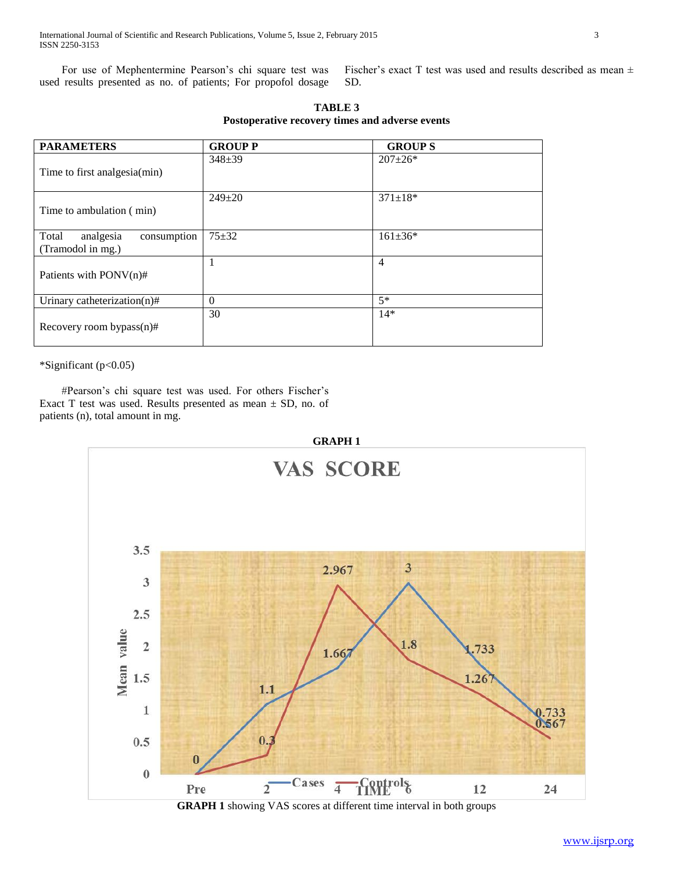For use of Mephentermine Pearson's chi square test was used results presented as no. of patients; For propofol dosage Fischer's exact T test was used and results described as mean ± SD.

| <b>PARAMETERS</b>                                      | <b>GROUP P</b> | <b>GROUPS</b>  |
|--------------------------------------------------------|----------------|----------------|
| Time to first analgesia(min)                           | $348 \pm 39$   | $207 \pm 26*$  |
| Time to ambulation (min)                               | $249 \pm 20$   | $371 \pm 18*$  |
| Total<br>analgesia<br>consumption<br>(Tramodol in mg.) | $75 + 32$      | $161 \pm 36*$  |
| Patients with PONV(n)#                                 |                | $\overline{4}$ |
| Urinary catheterization(n)#                            | $\Omega$       | $5*$           |
| Recovery room bypass $(n)$ #                           | 30             | $14*$          |

**TABLE 3 Postoperative recovery times and adverse events**

\*Significant (p<0.05)

 #Pearson's chi square test was used. For others Fischer's Exact T test was used. Results presented as mean  $\pm$  SD, no. of patients (n), total amount in mg.



**GRAPH 1** showing VAS scores at different time interval in both groups